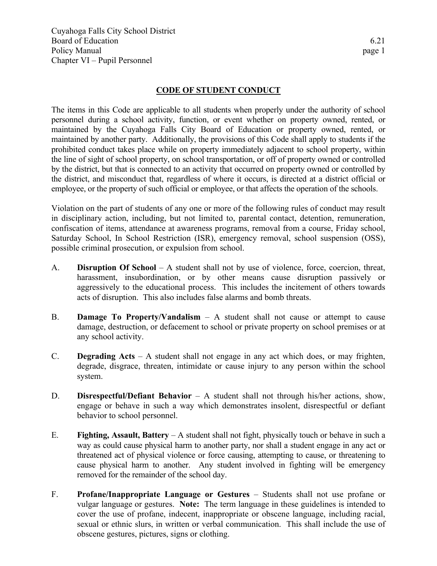Cuyahoga Falls City School District Board of Education 6.21 Policy Manual page 1 Chapter VI – Pupil Personnel

## **CODE OF STUDENT CONDUCT**

The items in this Code are applicable to all students when properly under the authority of school personnel during a school activity, function, or event whether on property owned, rented, or maintained by the Cuyahoga Falls City Board of Education or property owned, rented, or maintained by another party. Additionally, the provisions of this Code shall apply to students if the prohibited conduct takes place while on property immediately adjacent to school property, within the line of sight of school property, on school transportation, or off of property owned or controlled by the district, but that is connected to an activity that occurred on property owned or controlled by the district, and misconduct that, regardless of where it occurs, is directed at a district official or employee, or the property of such official or employee, or that affects the operation of the schools.

Violation on the part of students of any one or more of the following rules of conduct may result in disciplinary action, including, but not limited to, parental contact, detention, remuneration, confiscation of items, attendance at awareness programs, removal from a course, Friday school, Saturday School, In School Restriction (ISR), emergency removal, school suspension (OSS), possible criminal prosecution, or expulsion from school.

- A. **Disruption Of School** A student shall not by use of violence, force, coercion, threat, harassment, insubordination, or by other means cause disruption passively or aggressively to the educational process. This includes the incitement of others towards acts of disruption. This also includes false alarms and bomb threats.
- B. **Damage To Property/Vandalism** A student shall not cause or attempt to cause damage, destruction, or defacement to school or private property on school premises or at any school activity.
- C. **Degrading Acts** A student shall not engage in any act which does, or may frighten, degrade, disgrace, threaten, intimidate or cause injury to any person within the school system.
- D. **Disrespectful/Defiant Behavior** A student shall not through his/her actions, show, engage or behave in such a way which demonstrates insolent, disrespectful or defiant behavior to school personnel.
- E. **Fighting, Assault, Battery** A student shall not fight, physically touch or behave in such a way as could cause physical harm to another party, nor shall a student engage in any act or threatened act of physical violence or force causing, attempting to cause, or threatening to cause physical harm to another. Any student involved in fighting will be emergency removed for the remainder of the school day.
- F. **Profane/Inappropriate Language or Gestures** Students shall not use profane or vulgar language or gestures. **Note:** The term language in these guidelines is intended to cover the use of profane, indecent, inappropriate or obscene language, including racial, sexual or ethnic slurs, in written or verbal communication. This shall include the use of obscene gestures, pictures, signs or clothing.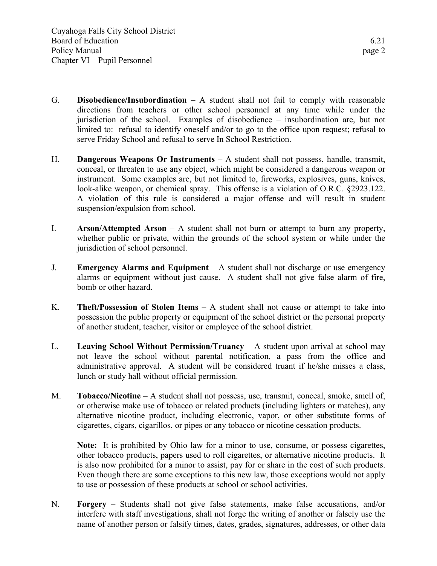- G. **Disobedience/Insubordination** A student shall not fail to comply with reasonable directions from teachers or other school personnel at any time while under the jurisdiction of the school. Examples of disobedience – insubordination are, but not limited to: refusal to identify oneself and/or to go to the office upon request; refusal to serve Friday School and refusal to serve In School Restriction.
- H. **Dangerous Weapons Or Instruments** A student shall not possess, handle, transmit, conceal, or threaten to use any object, which might be considered a dangerous weapon or instrument. Some examples are, but not limited to, fireworks, explosives, guns, knives, look-alike weapon, or chemical spray. This offense is a violation of O.R.C. §2923.122. A violation of this rule is considered a major offense and will result in student suspension/expulsion from school.
- I. **Arson/Attempted Arson** A student shall not burn or attempt to burn any property, whether public or private, within the grounds of the school system or while under the jurisdiction of school personnel.
- J. **Emergency Alarms and Equipment** A student shall not discharge or use emergency alarms or equipment without just cause. A student shall not give false alarm of fire, bomb or other hazard.
- K. **Theft/Possession of Stolen Items** A student shall not cause or attempt to take into possession the public property or equipment of the school district or the personal property of another student, teacher, visitor or employee of the school district.
- L. **Leaving School Without Permission/Truancy** A student upon arrival at school may not leave the school without parental notification, a pass from the office and administrative approval. A student will be considered truant if he/she misses a class, lunch or study hall without official permission.
- M. **Tobacco/Nicotine** A student shall not possess, use, transmit, conceal, smoke, smell of, or otherwise make use of tobacco or related products (including lighters or matches), any alternative nicotine product, including electronic, vapor, or other substitute forms of cigarettes, cigars, cigarillos, or pipes or any tobacco or nicotine cessation products.

**Note:** It is prohibited by Ohio law for a minor to use, consume, or possess cigarettes, other tobacco products, papers used to roll cigarettes, or alternative nicotine products. It is also now prohibited for a minor to assist, pay for or share in the cost of such products. Even though there are some exceptions to this new law, those exceptions would not apply to use or possession of these products at school or school activities.

N. **Forgery** – Students shall not give false statements, make false accusations, and/or interfere with staff investigations, shall not forge the writing of another or falsely use the name of another person or falsify times, dates, grades, signatures, addresses, or other data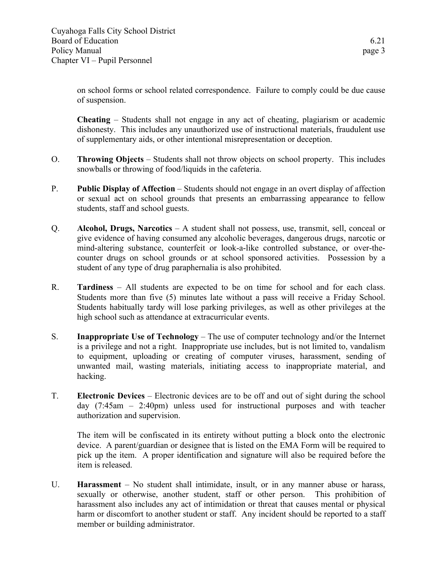on school forms or school related correspondence. Failure to comply could be due cause of suspension.

**Cheating** – Students shall not engage in any act of cheating, plagiarism or academic dishonesty. This includes any unauthorized use of instructional materials, fraudulent use of supplementary aids, or other intentional misrepresentation or deception.

- O. **Throwing Objects** Students shall not throw objects on school property. This includes snowballs or throwing of food/liquids in the cafeteria.
- P. **Public Display of Affection** Students should not engage in an overt display of affection or sexual act on school grounds that presents an embarrassing appearance to fellow students, staff and school guests.
- Q. **Alcohol, Drugs, Narcotics** A student shall not possess, use, transmit, sell, conceal or give evidence of having consumed any alcoholic beverages, dangerous drugs, narcotic or mind-altering substance, counterfeit or look-a-like controlled substance, or over-thecounter drugs on school grounds or at school sponsored activities. Possession by a student of any type of drug paraphernalia is also prohibited.
- R. **Tardiness** All students are expected to be on time for school and for each class. Students more than five (5) minutes late without a pass will receive a Friday School. Students habitually tardy will lose parking privileges, as well as other privileges at the high school such as attendance at extracurricular events.
- S. **Inappropriate Use of Technology** The use of computer technology and/or the Internet is a privilege and not a right. Inappropriate use includes, but is not limited to, vandalism to equipment, uploading or creating of computer viruses, harassment, sending of unwanted mail, wasting materials, initiating access to inappropriate material, and hacking.
- T. **Electronic Devices** Electronic devices are to be off and out of sight during the school day (7:45am – 2:40pm) unless used for instructional purposes and with teacher authorization and supervision.

The item will be confiscated in its entirety without putting a block onto the electronic device. A parent/guardian or designee that is listed on the EMA Form will be required to pick up the item. A proper identification and signature will also be required before the item is released.

U. **Harassment** – No student shall intimidate, insult, or in any manner abuse or harass, sexually or otherwise, another student, staff or other person. This prohibition of harassment also includes any act of intimidation or threat that causes mental or physical harm or discomfort to another student or staff. Any incident should be reported to a staff member or building administrator.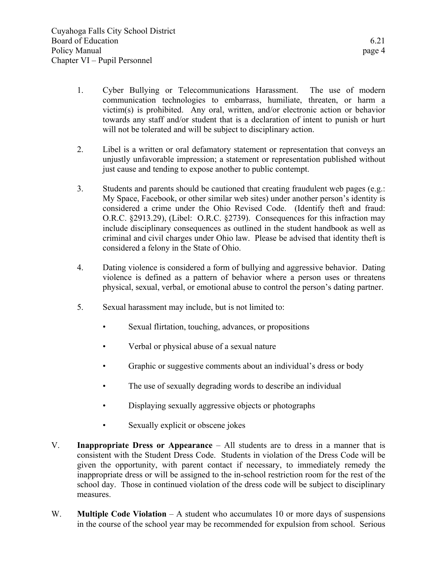- 1. Cyber Bullying or Telecommunications Harassment. The use of modern communication technologies to embarrass, humiliate, threaten, or harm a victim(s) is prohibited. Any oral, written, and/or electronic action or behavior towards any staff and/or student that is a declaration of intent to punish or hurt will not be tolerated and will be subject to disciplinary action.
- 2. Libel is a written or oral defamatory statement or representation that conveys an unjustly unfavorable impression; a statement or representation published without just cause and tending to expose another to public contempt.
- 3. Students and parents should be cautioned that creating fraudulent web pages (e.g.: My Space, Facebook, or other similar web sites) under another person's identity is considered a crime under the Ohio Revised Code. (Identify theft and fraud: O.R.C. §2913.29), (Libel: O.R.C. §2739). Consequences for this infraction may include disciplinary consequences as outlined in the student handbook as well as criminal and civil charges under Ohio law. Please be advised that identity theft is considered a felony in the State of Ohio.
- 4. Dating violence is considered a form of bullying and aggressive behavior. Dating violence is defined as a pattern of behavior where a person uses or threatens physical, sexual, verbal, or emotional abuse to control the person's dating partner.
- 5. Sexual harassment may include, but is not limited to:
	- Sexual flirtation, touching, advances, or propositions
	- Verbal or physical abuse of a sexual nature
	- Graphic or suggestive comments about an individual's dress or body
	- The use of sexually degrading words to describe an individual
	- Displaying sexually aggressive objects or photographs
	- Sexually explicit or obscene jokes
- V. **Inappropriate Dress or Appearance** All students are to dress in a manner that is consistent with the Student Dress Code. Students in violation of the Dress Code will be given the opportunity, with parent contact if necessary, to immediately remedy the inappropriate dress or will be assigned to the in-school restriction room for the rest of the school day. Those in continued violation of the dress code will be subject to disciplinary measures.
- W. **Multiple Code Violation** A student who accumulates 10 or more days of suspensions in the course of the school year may be recommended for expulsion from school. Serious